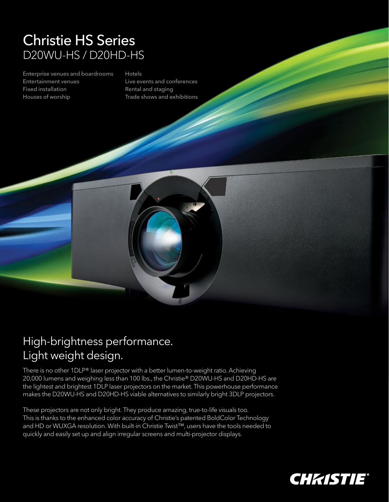## Christie HS Series D20WU-HS / D20HD-HS

Enterprise venues and boardrooms Entertainment venues Fixed installation Houses of worship

## Hotels

Live events and conferences Rental and staging Trade shows and exhibitions



There is no other 1DLP® laser projector with a better lumen-to-weight ratio. Achieving 20,000 lumens and weighing less than 100 lbs., the Christie® D20WU-HS and D20HD-HS are the lightest and brightest 1DLP laser projectors on the market. This powerhouse performance makes the D20WU-HS and D20HD-HS viable alternatives to similarly bright 3DLP projectors.

These projectors are not only bright. They produce amazing, true-to-life visuals too. This is thanks to the enhanced color accuracy of Christie's patented BoldColor Technology and HD or WUXGA resolution. With built-in Christie Twist™, users have the tools needed to quickly and easily set up and align irregular screens and multi-projector displays.